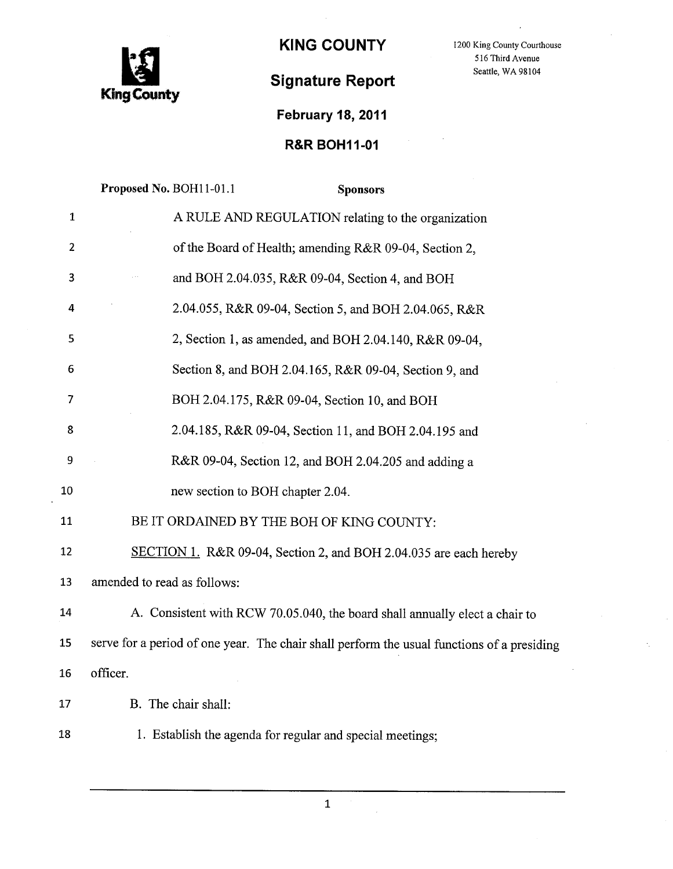

KING COUNTY 1200 King County Courthouse

## Signature Report Seattle, WA 98104

516 Third Avenue

## February 18, 2011

## R&R BOH11-01

|                | Proposed No. BOH11-01.1<br><b>Sponsors</b>                                                 |
|----------------|--------------------------------------------------------------------------------------------|
| $\mathbf{1}$   | A RULE AND REGULATION relating to the organization                                         |
| $\overline{2}$ | of the Board of Health; amending R&R 09-04, Section 2,                                     |
| 3              | and BOH 2.04.035, R&R 09-04, Section 4, and BOH                                            |
| 4              | 2.04.055, R&R 09-04, Section 5, and BOH 2.04.065, R&R                                      |
| 5              | 2, Section 1, as amended, and BOH 2.04.140, R&R 09-04,                                     |
| 6              | Section 8, and BOH 2.04.165, R&R 09-04, Section 9, and                                     |
| 7              | BOH 2.04.175, R&R 09-04, Section 10, and BOH                                               |
| 8              | 2.04.185, R&R 09-04, Section 11, and BOH 2.04.195 and                                      |
| 9              | R&R 09-04, Section 12, and BOH 2.04.205 and adding a                                       |
| 10             | new section to BOH chapter 2.04.                                                           |
| 11             | BE IT ORDAINED BY THE BOH OF KING COUNTY:                                                  |
| 12             | SECTION 1. R&R 09-04, Section 2, and BOH 2.04.035 are each hereby                          |
| 13             | amended to read as follows:                                                                |
| 14             | A. Consistent with RCW 70.05.040, the board shall annually elect a chair to                |
| 15             | serve for a period of one year. The chair shall perform the usual functions of a presiding |
| 16             | officer.                                                                                   |
| 17             | B. The chair shall:                                                                        |
| 18             | 1. Establish the agenda for regular and special meetings;                                  |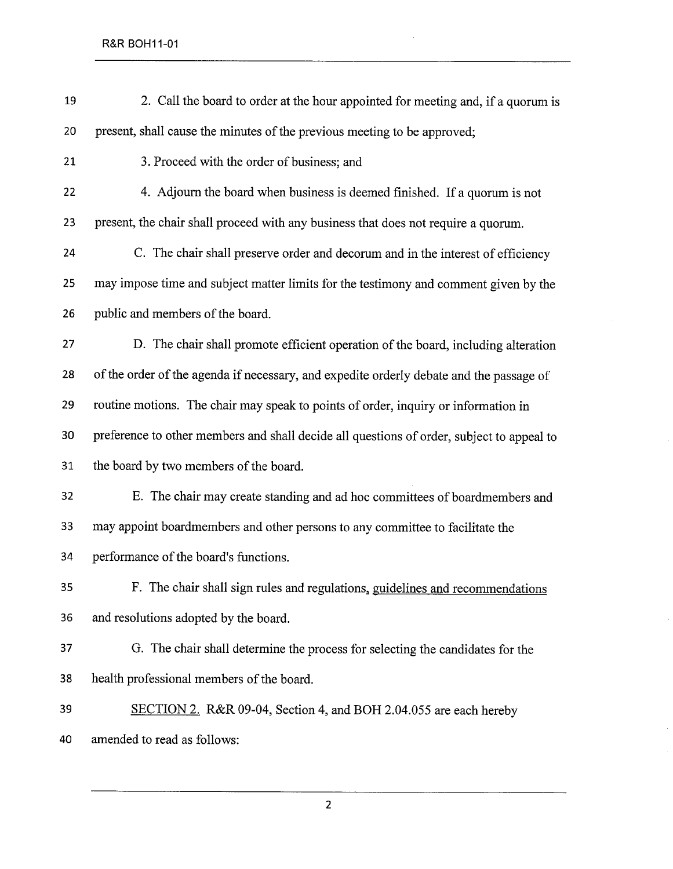| 19 | 2. Call the board to order at the hour appointed for meeting and, if a quorum is          |
|----|-------------------------------------------------------------------------------------------|
| 20 | present, shall cause the minutes of the previous meeting to be approved;                  |
| 21 | 3. Proceed with the order of business; and                                                |
| 22 | 4. Adjourn the board when business is deemed finished. If a quorum is not                 |
| 23 | present, the chair shall proceed with any business that does not require a quorum.        |
| 24 | C. The chair shall preserve order and decorum and in the interest of efficiency           |
| 25 | may impose time and subject matter limits for the testimony and comment given by the      |
| 26 | public and members of the board.                                                          |
| 27 | D. The chair shall promote efficient operation of the board, including alteration         |
| 28 | of the order of the agenda if necessary, and expedite orderly debate and the passage of   |
| 29 | routine motions. The chair may speak to points of order, inquiry or information in        |
| 30 | preference to other members and shall decide all questions of order, subject to appeal to |
| 31 | the board by two members of the board.                                                    |
| 32 | E. The chair may create standing and ad hoc committees of boardmembers and                |
| 33 | may appoint boardmembers and other persons to any committee to facilitate the             |
| 34 | performance of the board's functions.                                                     |
| 35 | F. The chair shall sign rules and regulations, guidelines and recommendations             |
| 36 | and resolutions adopted by the board.                                                     |
| 37 | G. The chair shall determine the process for selecting the candidates for the             |
| 38 | health professional members of the board.                                                 |
| 39 | SECTION 2. R&R 09-04, Section 4, and BOH 2.04.055 are each hereby                         |
| 40 | amended to read as follows:                                                               |

 $\hat{\boldsymbol{\beta}}$ 

 $\sim$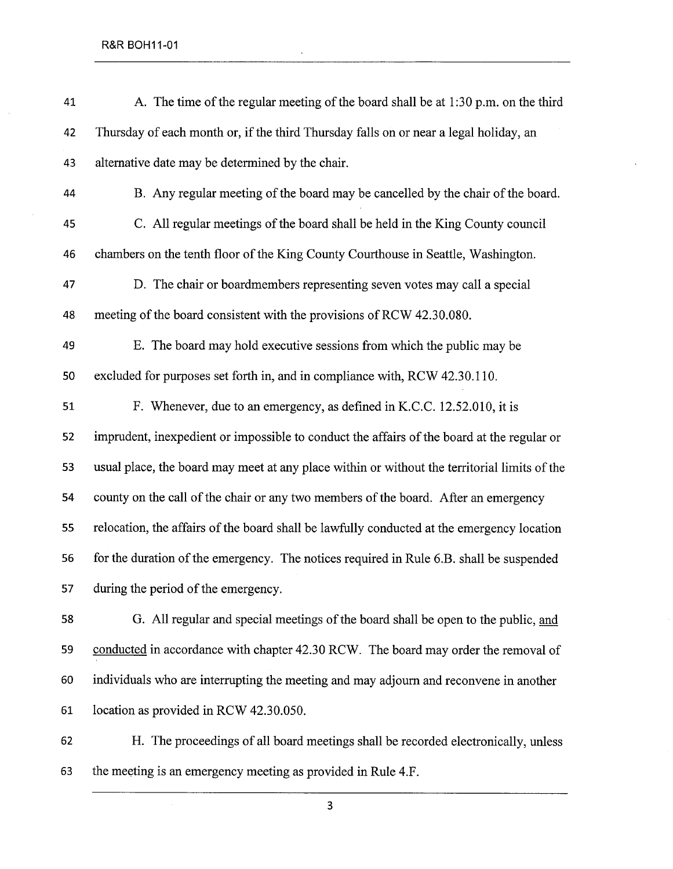| 41 | A. The time of the regular meeting of the board shall be at 1:30 p.m. on the third           |
|----|----------------------------------------------------------------------------------------------|
| 42 | Thursday of each month or, if the third Thursday falls on or near a legal holiday, an        |
| 43 | alternative date may be determined by the chair.                                             |
| 44 | B. Any regular meeting of the board may be cancelled by the chair of the board.              |
| 45 | C. All regular meetings of the board shall be held in the King County council                |
| 46 | chambers on the tenth floor of the King County Courthouse in Seattle, Washington.            |
| 47 | D. The chair or boardmembers representing seven votes may call a special                     |
| 48 | meeting of the board consistent with the provisions of RCW 42.30.080.                        |
| 49 | E. The board may hold executive sessions from which the public may be                        |
| 50 | excluded for purposes set forth in, and in compliance with, RCW 42.30.110.                   |
| 51 | F. Whenever, due to an emergency, as defined in K.C.C. 12.52.010, it is                      |
| 52 | imprudent, inexpedient or impossible to conduct the affairs of the board at the regular or   |
| 53 | usual place, the board may meet at any place within or without the territorial limits of the |
| 54 | county on the call of the chair or any two members of the board. After an emergency          |
| 55 | relocation, the affairs of the board shall be lawfully conducted at the emergency location   |
| 56 | for the duration of the emergency. The notices required in Rule 6.B. shall be suspended      |
| 57 | during the period of the emergency.                                                          |
| 58 | G. All regular and special meetings of the board shall be open to the public, and            |
| 59 | conducted in accordance with chapter 42.30 RCW. The board may order the removal of           |
| 60 | individuals who are interrupting the meeting and may adjourn and reconvene in another        |
| 61 | location as provided in RCW 42.30.050.                                                       |

 $\ddot{\phantom{0}}$ 

62 H. The proceedings of all board meetings shall be recorded electronically, unless 63 the meeting is an emergency meeting as provided in Rule 4.F.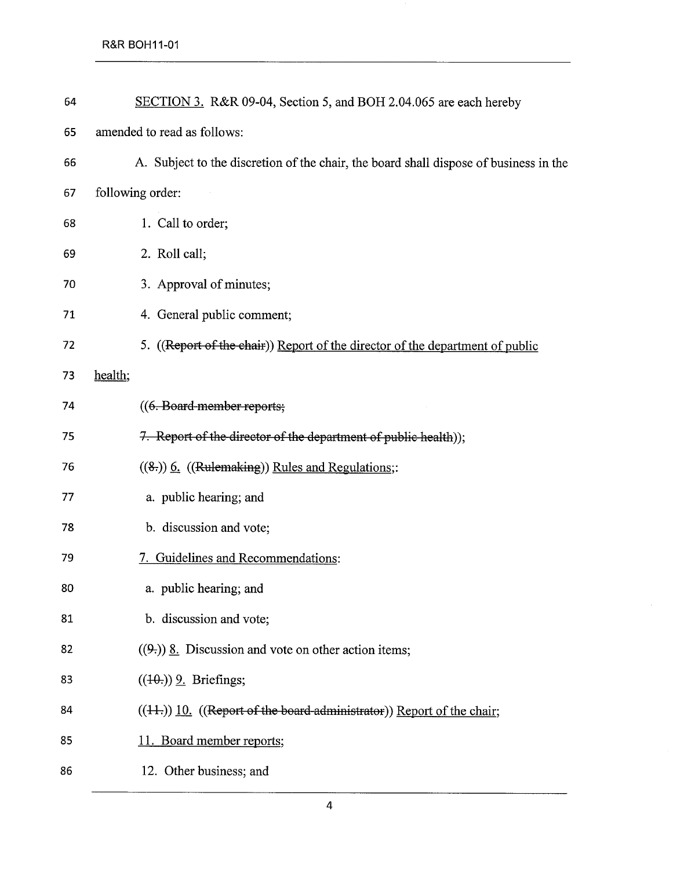| 64 | SECTION 3. R&R 09-04, Section 5, and BOH 2.04.065 are each hereby                     |
|----|---------------------------------------------------------------------------------------|
| 65 | amended to read as follows:                                                           |
| 66 | A. Subject to the discretion of the chair, the board shall dispose of business in the |
| 67 | following order:                                                                      |
| 68 | 1. Call to order;                                                                     |
| 69 | 2. Roll call;                                                                         |
| 70 | 3. Approval of minutes;                                                               |
| 71 | 4. General public comment;                                                            |
| 72 | 5. ((Report of the chair)) Report of the director of the department of public         |
| 73 | health;                                                                               |
| 74 | ((6. Board-member reports;                                                            |
| 75 | 7. Report of the director of the department of public health));                       |
| 76 | ((8.)) 6. ((Rulemaking)) Rules and Regulations;:                                      |
| 77 | a. public hearing; and                                                                |
| 78 | b. discussion and vote;                                                               |
| 79 | 7. Guidelines and Recommendations:                                                    |
| 80 | a. public hearing; and                                                                |
| 81 | b. discussion and vote;                                                               |
| 82 | $((9))$ 8. Discussion and vote on other action items;                                 |
| 83 | $((10))$ 9. Briefings;                                                                |
| 84 | $((11))$ 10. ((Report of the board-administrator)) Report of the chair;               |
| 85 | 11. Board member reports;                                                             |
| 86 | 12. Other business; and                                                               |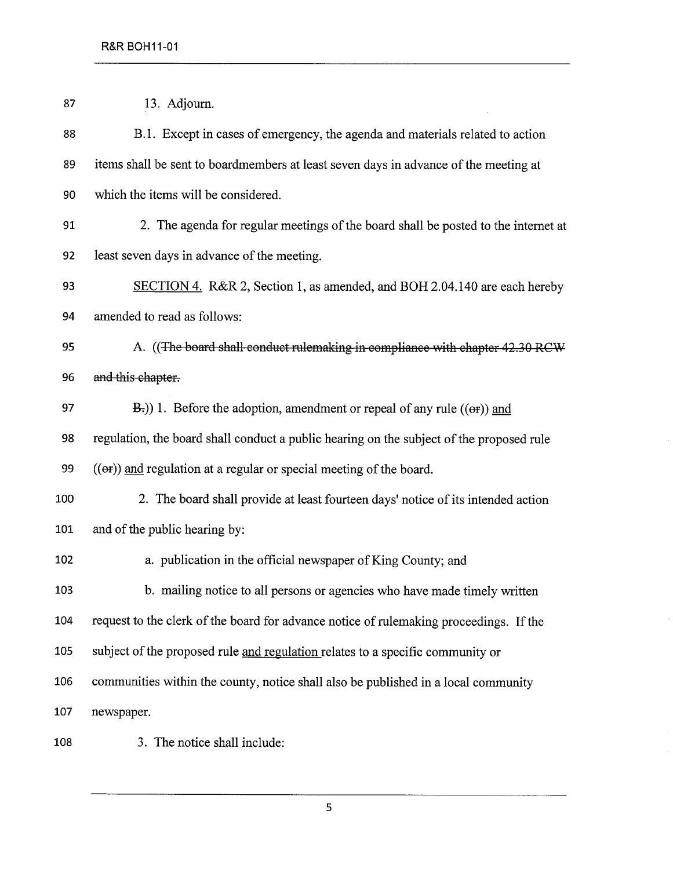| 87  | 13. Adjourn.                                                                             |
|-----|------------------------------------------------------------------------------------------|
| 88  | B.1. Except in cases of emergency, the agenda and materials related to action            |
| 89  | items shall be sent to boardmembers at least seven days in advance of the meeting at     |
| 90  | which the items will be considered.                                                      |
| 91  | 2. The agenda for regular meetings of the board shall be posted to the internet at       |
| 92  | least seven days in advance of the meeting.                                              |
| 93  | SECTION 4. R&R 2, Section 1, as amended, and BOH 2.04.140 are each hereby                |
| 94  | amended to read as follows:                                                              |
| 95  | A. ((The board shall-conduct rulemaking in compliance with chapter 42.30 RCW             |
| 96  | and this chapter.                                                                        |
| 97  | $E$ .) 1. Before the adoption, amendment or repeal of any rule (( $\Theta$ r)) and       |
| 98  | regulation, the board shall conduct a public hearing on the subject of the proposed rule |
| 99  | $($ ( $\Theta$ )) and regulation at a regular or special meeting of the board.           |
| 100 | 2. The board shall provide at least fourteen days' notice of its intended action         |
| 101 | and of the public hearing by:                                                            |
| 102 | a. publication in the official newspaper of King County; and                             |
| 103 | b. mailing notice to all persons or agencies who have made timely written                |
| 104 | request to the clerk of the board for advance notice of rule making proceedings. If the  |
| 105 | subject of the proposed rule and regulation relates to a specific community or           |
| 106 | communities within the county, notice shall also be published in a local community       |
| 107 | newspaper.                                                                               |
| 108 | 3. The notice shall include:                                                             |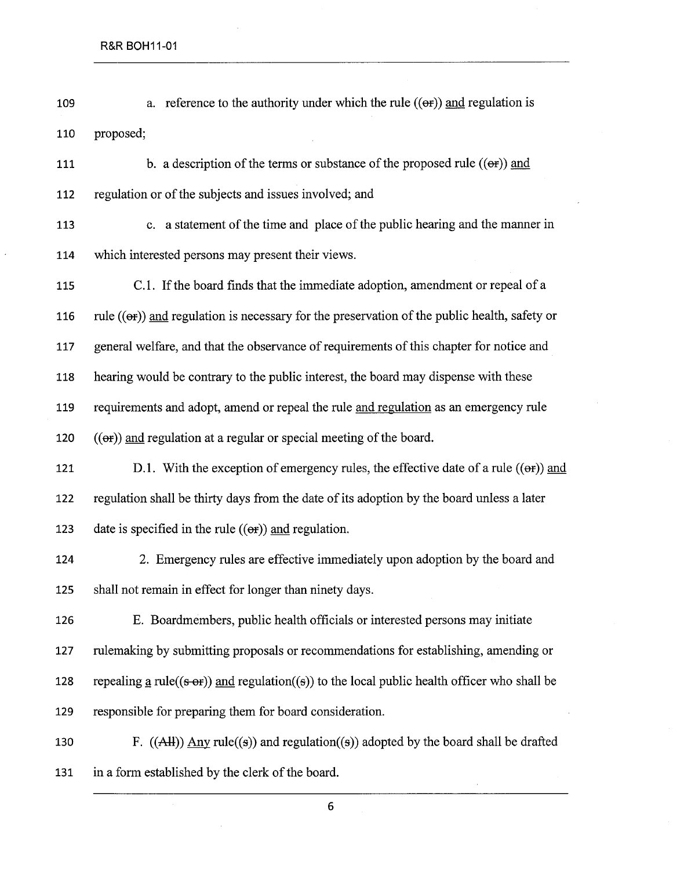- 109 a. reference to the authority under which the rule  $((\theta \cdot \mathbf{r}))$  and regulation is 110 proposed:
- 111 b. a description of the terms or substance of the proposed rule  $((\theta \cdot \mathbf{r}))$  and 112 regulation or of the subjects and issues involved; and
- 113 c. a statement of the time and place of the public hearing and the maner in 114 which interested persons may present their views.

115 C.L. If the board finds that the immediate adoption, amendment or repeal of a 116 rule  $((\Theta<sub>F</sub>))$  and regulation is necessary for the preservation of the public health, safety or 117 general welfare, and that the observance of requirements ofthis chapter for notice and 118 hearing would be contrary to the public interest, the board may dispense with these 119 requirements and adopt, amend or repeal the rule and regulation as an emergency rule 120  $((er))$  and regulation at a regular or special meeting of the board.

121 D.l. With the exception of emergency rules, the effective date of a rule  $((\theta \cdot \mathbf{r}))$  and 122 regulation shall be thirty days from the date of its adoption by the board unless a later 123 date is specified in the rule  $((er))$  and regulation.

124 2. Emergency rules are effective immediately upon adoption by the board and 125 shall not remain in effect for longer than ninety days.

126 E. Boardmembers, public health officials or interested persons may initiate 127 rulemaking by submitting proposals or recommendations for establishing, amending or 128 repealing a rule((s-or)) and regulation((s)) to the local public health officer who shall be 129 responsible for preparing them for board consideration.

130 F.  $((A\text{H}))$  Any rule((s)) and regulation((s)) adopted by the board shall be drafted 131 in a form established by the clerk of the board.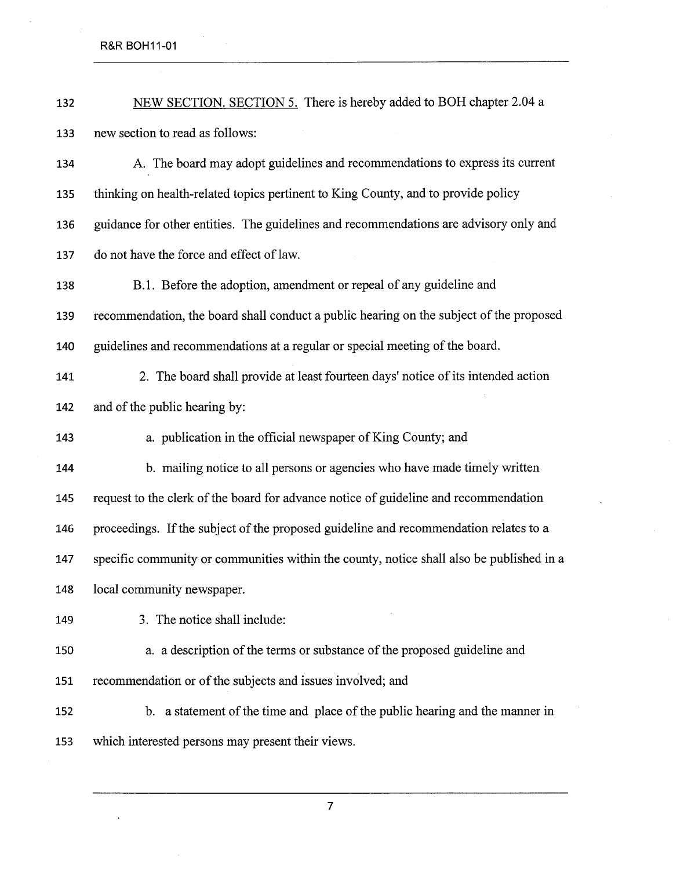R&R BOH11-01

 $\ddot{\phantom{0}}$ 

 $\sim$ 

| 132 | NEW SECTION. SECTION 5. There is hereby added to BOH chapter 2.04 a                      |
|-----|------------------------------------------------------------------------------------------|
| 133 | new section to read as follows:                                                          |
| 134 | A. The board may adopt guidelines and recommendations to express its current             |
| 135 | thinking on health-related topics pertinent to King County, and to provide policy        |
| 136 | guidance for other entities. The guidelines and recommendations are advisory only and    |
| 137 | do not have the force and effect of law.                                                 |
| 138 | B.1. Before the adoption, amendment or repeal of any guideline and                       |
| 139 | recommendation, the board shall conduct a public hearing on the subject of the proposed  |
| 140 | guidelines and recommendations at a regular or special meeting of the board.             |
| 141 | 2. The board shall provide at least fourteen days' notice of its intended action         |
| 142 | and of the public hearing by:                                                            |
| 143 | a. publication in the official newspaper of King County; and                             |
| 144 | b. mailing notice to all persons or agencies who have made timely written                |
| 145 | request to the clerk of the board for advance notice of guideline and recommendation     |
| 146 | proceedings. If the subject of the proposed guideline and recommendation relates to a    |
| 147 | specific community or communities within the county, notice shall also be published in a |
| 148 | local community newspaper.                                                               |
| 149 | 3. The notice shall include:                                                             |
| 150 | a. a description of the terms or substance of the proposed guideline and                 |
| 151 | recommendation or of the subjects and issues involved; and                               |
| 152 | b. a statement of the time and place of the public hearing and the manner in             |
| 153 | which interested persons may present their views.                                        |

 $\bar{z}$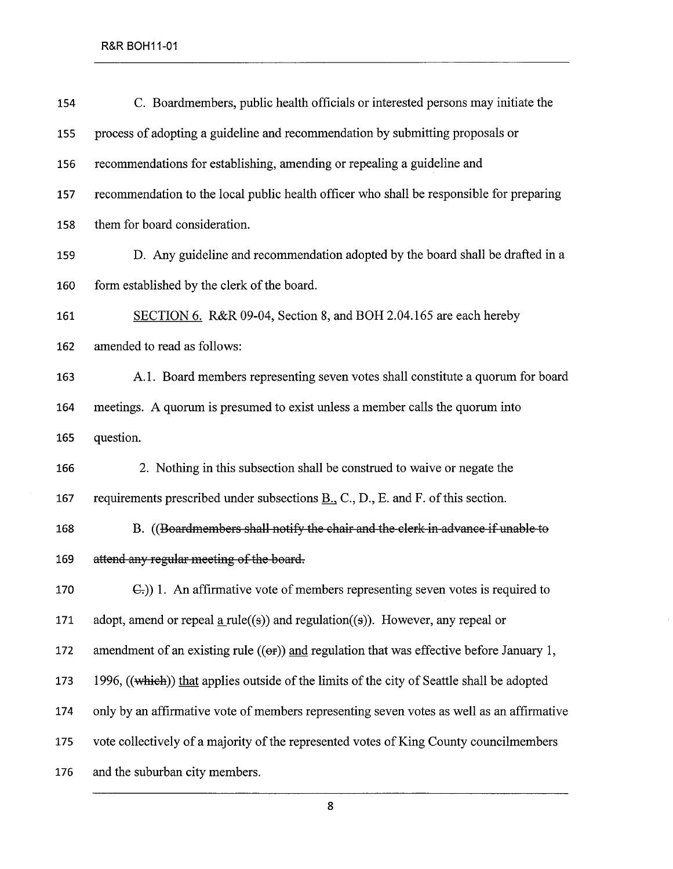| C. Boardmembers, public health officials or interested persons may initiate the                  |
|--------------------------------------------------------------------------------------------------|
| process of adopting a guideline and recommendation by submitting proposals or                    |
| recommendations for establishing, amending or repealing a guideline and                          |
| recommendation to the local public health officer who shall be responsible for preparing         |
| them for board consideration.                                                                    |
| D. Any guideline and recommendation adopted by the board shall be drafted in a                   |
| form established by the clerk of the board.                                                      |
| SECTION 6. R&R 09-04, Section 8, and BOH 2.04.165 are each hereby                                |
| amended to read as follows:                                                                      |
| A.1. Board members representing seven votes shall constitute a quorum for board                  |
| meetings. A quorum is presumed to exist unless a member calls the quorum into                    |
| question.                                                                                        |
| 2. Nothing in this subsection shall be construed to waive or negate the                          |
| requirements prescribed under subsections $\underline{B.}$ , C., D., E. and F. of this section.  |
| B. ((Boardmembers shall notify the chair and the clerk in advance if unable to                   |
| attend any regular meeting of the board.                                                         |
| E.)) 1. An affirmative vote of members representing seven votes is required to                   |
| adopt, amend or repeal $\underline{a}$ rule((s)) and regulation((s)). However, any repeal or     |
| amendment of an existing rule $((\theta f))$ and regulation that was effective before January 1, |
| 1996, ((which)) that applies outside of the limits of the city of Seattle shall be adopted       |
| only by an affirmative vote of members representing seven votes as well as an affirmative        |
| vote collectively of a majority of the represented votes of King County councilmembers           |
| and the suburban city members.                                                                   |
|                                                                                                  |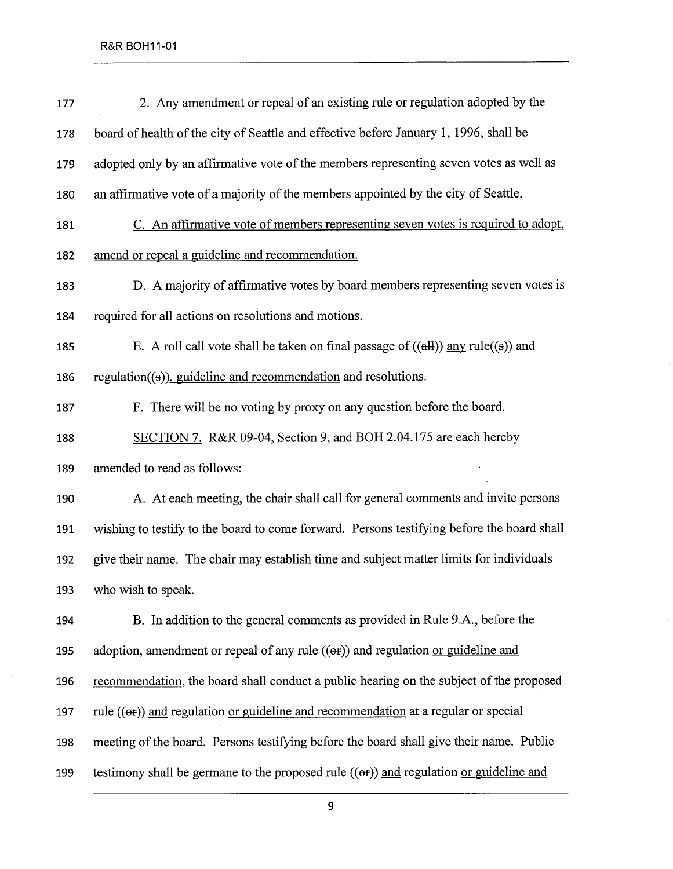| 177 | 2. Any amendment or repeal of an existing rule or regulation adopted by the                |
|-----|--------------------------------------------------------------------------------------------|
| 178 | board of health of the city of Seattle and effective before January 1, 1996, shall be      |
| 179 | adopted only by an affirmative vote of the members representing seven votes as well as     |
| 180 | an affirmative vote of a majority of the members appointed by the city of Seattle.         |
| 181 | C. An affirmative vote of members representing seven votes is required to adopt,           |
| 182 | amend or repeal a guideline and recommendation.                                            |
| 183 | D. A majority of affirmative votes by board members representing seven votes is            |
| 184 | required for all actions on resolutions and motions.                                       |
| 185 | E. A roll call vote shall be taken on final passage of $((\text{all}))$ any rule((s)) and  |
| 186 | $regulation((s))$ , guideline and recommendation and resolutions.                          |
| 187 | F. There will be no voting by proxy on any question before the board.                      |
| 188 | SECTION 7. R&R 09-04, Section 9, and BOH 2.04.175 are each hereby                          |
| 189 | amended to read as follows:                                                                |
| 190 | A. At each meeting, the chair shall call for general comments and invite persons           |
| 191 | wishing to testify to the board to come forward. Persons testifying before the board shall |
| 192 | give their name. The chair may establish time and subject matter limits for individuals    |
| 193 | who wish to speak.                                                                         |
| 194 | B. In addition to the general comments as provided in Rule 9.A., before the                |
| 195 | adoption, amendment or repeal of any rule $((\theta f))$ and regulation or guideline and   |
| 196 | recommendation, the board shall conduct a public hearing on the subject of the proposed    |
| 197 | rule $((er))$ and regulation or guideline and recommendation at a regular or special       |
| 198 | meeting of the board. Persons testifying before the board shall give their name. Public    |
| 199 | testimony shall be germane to the proposed rule ((or)) and regulation or guideline and     |

 $\bar{z}$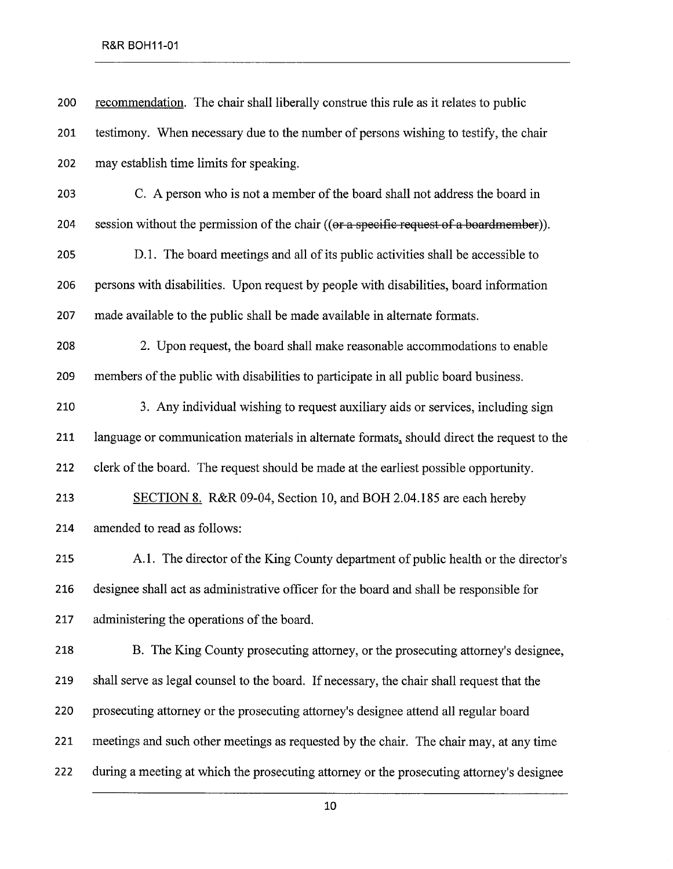## R&R BOH11-01

| 200 | recommendation. The chair shall liberally construe this rule as it relates to public       |
|-----|--------------------------------------------------------------------------------------------|
| 201 | testimony. When necessary due to the number of persons wishing to testify, the chair       |
| 202 | may establish time limits for speaking.                                                    |
| 203 | C. A person who is not a member of the board shall not address the board in                |
| 204 | session without the permission of the chair ((or a specific request of a boardmember)).    |
| 205 | D.1. The board meetings and all of its public activities shall be accessible to            |
| 206 | persons with disabilities. Upon request by people with disabilities, board information     |
| 207 | made available to the public shall be made available in alternate formats.                 |
| 208 | 2. Upon request, the board shall make reasonable accommodations to enable                  |
| 209 | members of the public with disabilities to participate in all public board business.       |
| 210 | 3. Any individual wishing to request auxiliary aids or services, including sign            |
| 211 | language or communication materials in alternate formats, should direct the request to the |
| 212 | clerk of the board. The request should be made at the earliest possible opportunity.       |
| 213 | SECTION 8. R&R 09-04, Section 10, and BOH 2.04.185 are each hereby                         |
| 214 | amended to read as follows:                                                                |
| 215 | A.1. The director of the King County department of public health or the director's         |
| 216 | designee shall act as administrative officer for the board and shall be responsible for    |
| 217 | administering the operations of the board.                                                 |
| 218 | B. The King County prosecuting attorney, or the prosecuting attorney's designee,           |
| 219 | shall serve as legal counsel to the board. If necessary, the chair shall request that the  |
| 220 | prosecuting attorney or the prosecuting attorney's designee attend all regular board       |
| 221 | meetings and such other meetings as requested by the chair. The chair may, at any time     |
| 222 | during a meeting at which the prosecuting attorney or the prosecuting attorney's designee  |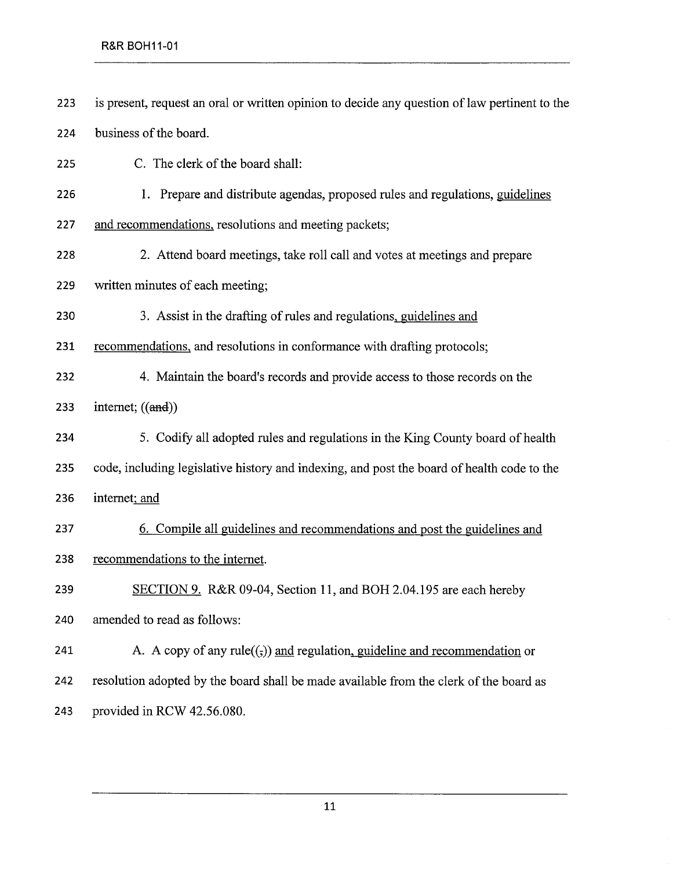223 is present, request an oral or written opinion to decide any question of law pertinent to the 224 business of the board.

225 C. The clerk of the board shall:

226 1. Prepare and distribute agendas, proposed rules and regulations, guidelines

227 and recommendations. resolutions and meeting packets;

- 228 2. Attend board meetings, take roll call and votes at meetings and prepare
- 229 written minutes of each meeting;

230 3. Assist in the drafting of rules and regulations. guidelines and

231 recommendations, and resolutions in conformance with drafting protocols;

- 232 4. Maintain the board's records and provide access to those records on the 233 internet;  $((and))$
- 234 5. Codify all adopted rules and regulations in the King County board of health 235 code, including legislative history and indexing, and post the board of health code to the 236 internet; and
- 237 6. Compile all guidelines and recommendations and post the guidelines and 238 recommendations to the internet.
- 239 SECTION 9. R&R 09-04, Section 11, and BOH 2.04.195 are each hereby 240 amended to read as follows:
- 241 A. A copy of any rule( $(\cdot, \cdot)$ ) and regulation, guideline and recommendation or 242 resolution adopted by the board shall be made available from the clerk of the board as 243 provided in RCW 42.56.080.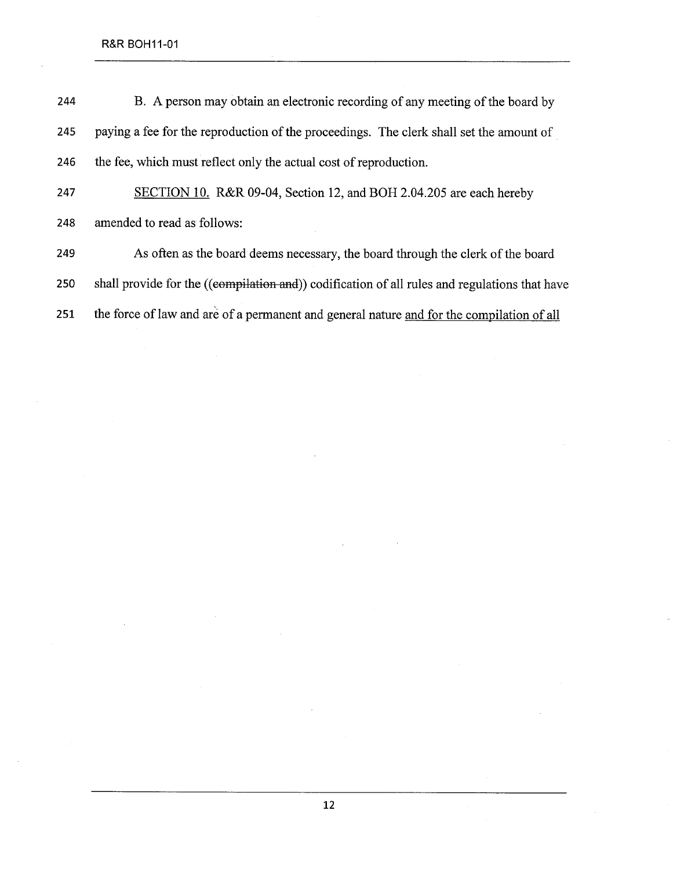R&R BOH11-01

| 244 | B. A person may obtain an electronic recording of any meeting of the board by                 |
|-----|-----------------------------------------------------------------------------------------------|
| 245 | paying a fee for the reproduction of the proceedings. The clerk shall set the amount of       |
| 246 | the fee, which must reflect only the actual cost of reproduction.                             |
| 247 | SECTION 10. R&R 09-04, Section 12, and BOH 2.04.205 are each hereby                           |
| 248 | amended to read as follows:                                                                   |
| 249 | As often as the board deems necessary, the board through the clerk of the board               |
| 250 | shall provide for the ((compilation and)) codification of all rules and regulations that have |
| 251 | the force of law and are of a permanent and general nature and for the compilation of all     |